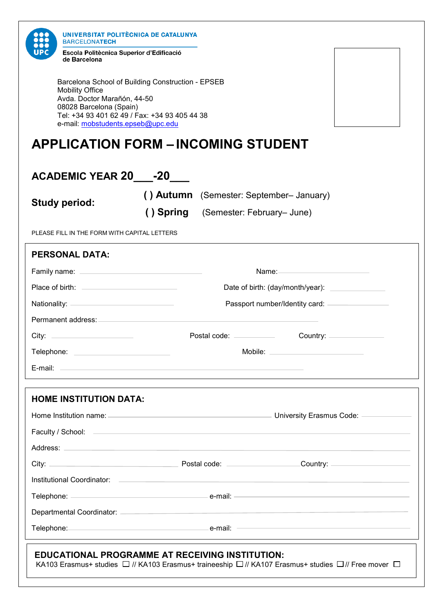| UNIVERSITAT POLITÈCNICA DE CATALUNYA<br><b>BARCELONATECH</b><br>Escola Politècnica Superior d'Edificació<br>de Barcelona                                                                                                       |                                                                                                                                                                                                                                |                                      |                                          |                        |  |  |
|--------------------------------------------------------------------------------------------------------------------------------------------------------------------------------------------------------------------------------|--------------------------------------------------------------------------------------------------------------------------------------------------------------------------------------------------------------------------------|--------------------------------------|------------------------------------------|------------------------|--|--|
| <b>Mobility Office</b><br>Avda. Doctor Marañón, 44-50<br>08028 Barcelona (Spain)<br>e-mail: mobstudents.epseb@upc.edu                                                                                                          | Barcelona School of Building Construction - EPSEB<br>Tel: +34 93 401 62 49 / Fax: +34 93 405 44 38                                                                                                                             |                                      |                                          |                        |  |  |
| <b>APPLICATION FORM - INCOMING STUDENT</b>                                                                                                                                                                                     |                                                                                                                                                                                                                                |                                      |                                          |                        |  |  |
| <b>ACADEMIC YEAR 20____-20____</b>                                                                                                                                                                                             |                                                                                                                                                                                                                                |                                      |                                          |                        |  |  |
| <b>Study period:</b>                                                                                                                                                                                                           |                                                                                                                                                                                                                                |                                      | () Autumn (Semester: September- January) |                        |  |  |
|                                                                                                                                                                                                                                |                                                                                                                                                                                                                                | () Spring (Semester: February– June) |                                          |                        |  |  |
| PLEASE FILL IN THE FORM WITH CAPITAL LETTERS                                                                                                                                                                                   |                                                                                                                                                                                                                                |                                      |                                          |                        |  |  |
| <b>PERSONAL DATA:</b>                                                                                                                                                                                                          |                                                                                                                                                                                                                                |                                      |                                          |                        |  |  |
|                                                                                                                                                                                                                                | Name: 2008 2010 2021 2022 2023 2024 2022 2023 2024 2022 2023 2024 2022 2023 2024 2022 2023 2024 2025 2026 2027                                                                                                                 |                                      |                                          |                        |  |  |
|                                                                                                                                                                                                                                | Date of birth: (day/month/year): ________________                                                                                                                                                                              |                                      |                                          |                        |  |  |
|                                                                                                                                                                                                                                | Passport number/Identity card: ________________                                                                                                                                                                                |                                      |                                          |                        |  |  |
|                                                                                                                                                                                                                                |                                                                                                                                                                                                                                |                                      |                                          |                        |  |  |
| City:                                                                                                                                                                                                                          |                                                                                                                                                                                                                                | Postal code: __________              |                                          | Country: $\frac{1}{2}$ |  |  |
| Telephone: New York Street, New York Street, New York Street, New York Street, New York Street, New York Street                                                                                                                |                                                                                                                                                                                                                                |                                      |                                          |                        |  |  |
|                                                                                                                                                                                                                                |                                                                                                                                                                                                                                |                                      |                                          |                        |  |  |
| <b>HOME INSTITUTION DATA:</b>                                                                                                                                                                                                  |                                                                                                                                                                                                                                |                                      |                                          |                        |  |  |
|                                                                                                                                                                                                                                |                                                                                                                                                                                                                                |                                      |                                          |                        |  |  |
|                                                                                                                                                                                                                                |                                                                                                                                                                                                                                |                                      |                                          |                        |  |  |
|                                                                                                                                                                                                                                |                                                                                                                                                                                                                                |                                      |                                          |                        |  |  |
|                                                                                                                                                                                                                                |                                                                                                                                                                                                                                |                                      |                                          |                        |  |  |
|                                                                                                                                                                                                                                |                                                                                                                                                                                                                                |                                      |                                          |                        |  |  |
|                                                                                                                                                                                                                                |                                                                                                                                                                                                                                |                                      |                                          |                        |  |  |
| Departmental Coordinator: Coordinator: Coordinator: Coordinator: Coordinator: Coordinator: Coordinator: Coordinator: Coordinator: Coordinator: Coordinator: Coordinator: Coordinator: Coordinator: Coordinator: Coordinator: C |                                                                                                                                                                                                                                |                                      |                                          |                        |  |  |
|                                                                                                                                                                                                                                | Telephone: e-mail: e-mail: e-mail: e-mail: e-mail: e-mail: e-mail: e-mail: e-mail: e-mail: e-mail: e-mail: e-mail: e-mail: e-mail: e-mail: e-mail: e-mail: e-mail: e-mail: e-mail: e-mail: e-mail: e-mail: e-mail: e-mail: e-m |                                      |                                          |                        |  |  |
| <b>EDUCATIONAL PROGRAMME AT RECEIVING INSTITUTION:</b><br>KA103 Erasmus+ studies $\Box$ // KA103 Erasmus+ traineeship $\Box$ // KA107 Erasmus+ studies $\Box$ // Free mover $\Box$                                             |                                                                                                                                                                                                                                |                                      |                                          |                        |  |  |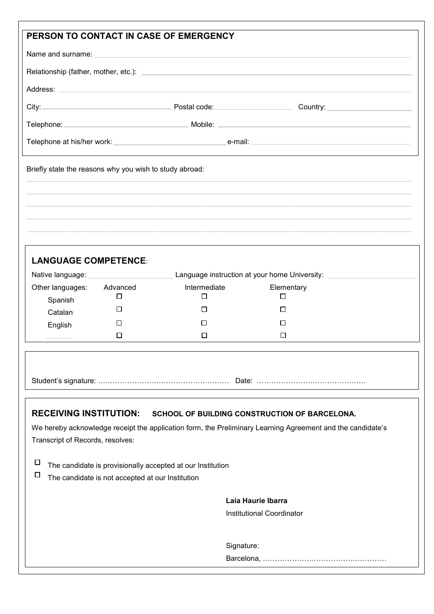| PERSON TO CONTACT IN CASE OF EMERGENCY                                                                                                         |                                                                                                                                                                                                                                                                                 |                                                                                                                       |                                 |  |  |  |
|------------------------------------------------------------------------------------------------------------------------------------------------|---------------------------------------------------------------------------------------------------------------------------------------------------------------------------------------------------------------------------------------------------------------------------------|-----------------------------------------------------------------------------------------------------------------------|---------------------------------|--|--|--|
|                                                                                                                                                |                                                                                                                                                                                                                                                                                 |                                                                                                                       |                                 |  |  |  |
|                                                                                                                                                |                                                                                                                                                                                                                                                                                 |                                                                                                                       |                                 |  |  |  |
|                                                                                                                                                |                                                                                                                                                                                                                                                                                 |                                                                                                                       |                                 |  |  |  |
|                                                                                                                                                |                                                                                                                                                                                                                                                                                 |                                                                                                                       | City: Current Country: Country: |  |  |  |
|                                                                                                                                                |                                                                                                                                                                                                                                                                                 |                                                                                                                       |                                 |  |  |  |
|                                                                                                                                                |                                                                                                                                                                                                                                                                                 |                                                                                                                       |                                 |  |  |  |
|                                                                                                                                                |                                                                                                                                                                                                                                                                                 | <u> 1989 - Johann Stoff, deutscher Stoff, der Stoff, der Stoff, der Stoff, der Stoff, der Stoff, der Stoff, der S</u> |                                 |  |  |  |
| Briefly state the reasons why you wish to study abroad:                                                                                        |                                                                                                                                                                                                                                                                                 |                                                                                                                       |                                 |  |  |  |
|                                                                                                                                                |                                                                                                                                                                                                                                                                                 |                                                                                                                       |                                 |  |  |  |
|                                                                                                                                                |                                                                                                                                                                                                                                                                                 |                                                                                                                       |                                 |  |  |  |
|                                                                                                                                                |                                                                                                                                                                                                                                                                                 |                                                                                                                       |                                 |  |  |  |
|                                                                                                                                                |                                                                                                                                                                                                                                                                                 |                                                                                                                       |                                 |  |  |  |
| <b>LANGUAGE COMPETENCE:</b>                                                                                                                    |                                                                                                                                                                                                                                                                                 |                                                                                                                       |                                 |  |  |  |
|                                                                                                                                                | Native language: National Property of the Matinese Contract of the Matinese Contract of the Matinese Contract of the Matinese Contract of the Matinese Contract of the Matinese Contract of the Matinese Contract of the Matin<br>Language instruction at your home University: |                                                                                                                       |                                 |  |  |  |
| Other languages:                                                                                                                               | Advanced                                                                                                                                                                                                                                                                        | Intermediate                                                                                                          | Elementary                      |  |  |  |
| Spanish                                                                                                                                        | $\Box$                                                                                                                                                                                                                                                                          | □                                                                                                                     | $\Box$                          |  |  |  |
| Catalan                                                                                                                                        | □                                                                                                                                                                                                                                                                               | □                                                                                                                     | □                               |  |  |  |
| English                                                                                                                                        | □                                                                                                                                                                                                                                                                               | □                                                                                                                     | □                               |  |  |  |
|                                                                                                                                                | □                                                                                                                                                                                                                                                                               | □                                                                                                                     | $\Box$                          |  |  |  |
|                                                                                                                                                |                                                                                                                                                                                                                                                                                 |                                                                                                                       |                                 |  |  |  |
|                                                                                                                                                |                                                                                                                                                                                                                                                                                 |                                                                                                                       |                                 |  |  |  |
|                                                                                                                                                |                                                                                                                                                                                                                                                                                 |                                                                                                                       |                                 |  |  |  |
|                                                                                                                                                |                                                                                                                                                                                                                                                                                 |                                                                                                                       |                                 |  |  |  |
| <b>RECEIVING INSTITUTION:</b><br>SCHOOL OF BUILDING CONSTRUCTION OF BARCELONA.                                                                 |                                                                                                                                                                                                                                                                                 |                                                                                                                       |                                 |  |  |  |
| We hereby acknowledge receipt the application form, the Preliminary Learning Agreement and the candidate's<br>Transcript of Records, resolves: |                                                                                                                                                                                                                                                                                 |                                                                                                                       |                                 |  |  |  |
|                                                                                                                                                |                                                                                                                                                                                                                                                                                 |                                                                                                                       |                                 |  |  |  |
| $\Box$<br>The candidate is provisionally accepted at our Institution                                                                           |                                                                                                                                                                                                                                                                                 |                                                                                                                       |                                 |  |  |  |
| □<br>The candidate is not accepted at our Institution                                                                                          |                                                                                                                                                                                                                                                                                 |                                                                                                                       |                                 |  |  |  |
|                                                                                                                                                |                                                                                                                                                                                                                                                                                 |                                                                                                                       | Laia Haurie Ibarra              |  |  |  |
|                                                                                                                                                |                                                                                                                                                                                                                                                                                 |                                                                                                                       | Institutional Coordinator       |  |  |  |
|                                                                                                                                                |                                                                                                                                                                                                                                                                                 |                                                                                                                       |                                 |  |  |  |
|                                                                                                                                                |                                                                                                                                                                                                                                                                                 |                                                                                                                       | Signature:                      |  |  |  |
|                                                                                                                                                |                                                                                                                                                                                                                                                                                 |                                                                                                                       |                                 |  |  |  |
|                                                                                                                                                |                                                                                                                                                                                                                                                                                 |                                                                                                                       |                                 |  |  |  |